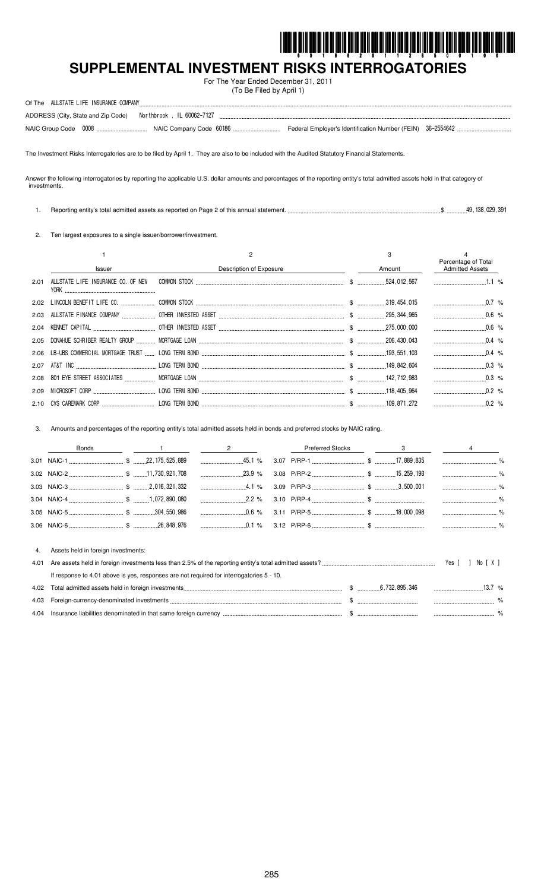

# SUPPLEMENTAL INVESTMENT RISKS INTERROGATORIES

For The Year Ended December 31, 2011 (To Be Filed by April 1)

| Of The ALLSTATE LIFE INSURANCE COMPANY                          |                                                             |
|-----------------------------------------------------------------|-------------------------------------------------------------|
| ADDRESS (City, State and Zip Code)    Northbrook, IL 60062-7127 |                                                             |
|                                                                 | Federal Employer's Identification Number (FEIN) 36-2554642. |

The Investment Risks Interrogatories are to be filed by April 1. They are also to be included with the Audited Statutory Financial Statements.

Answer the following interrogatories by reporting the applicable U.S. dollar amounts and percentages of the reporting entity's total admitted assets held in that category of investments.

1. Reporting entity's total admitted assets as reported on Page 2 of this annual statement. ...  $\sqrt{9}$ , 138, 029, 391

2. Ten largest exposures to a single issuer/borrower/investment.

|      | <b>Issuer</b>                      | Description of Exposure | 3<br>Amount | Percentage of Total<br><b>Admitted Assets</b> |  |
|------|------------------------------------|-------------------------|-------------|-----------------------------------------------|--|
| 2.01 | ALLSTATE LIFE INSURANCE CO. OF NEW |                         |             |                                               |  |
|      |                                    |                         |             |                                               |  |
|      |                                    |                         |             |                                               |  |
|      |                                    |                         |             | $0.6\%$                                       |  |
|      |                                    |                         |             | $0.4\%$                                       |  |
|      |                                    |                         |             | $0.4\%$                                       |  |
|      |                                    |                         |             | $0.3\%$                                       |  |
|      |                                    |                         |             | $0.3\%$                                       |  |
|      |                                    |                         |             |                                               |  |
|      |                                    |                         |             | $0.2\%$                                       |  |

Amounts and percentages of the reporting entity's total admitted assets held in bonds and preferred stocks by NAIC rating.  $3.$ 

|      | <b>Bonds</b>                                                                                                                                                                                                                         | 2        | <b>Preferred Stocks</b> | 3 |       |          |  |
|------|--------------------------------------------------------------------------------------------------------------------------------------------------------------------------------------------------------------------------------------|----------|-------------------------|---|-------|----------|--|
|      |                                                                                                                                                                                                                                      |          |                         |   |       |          |  |
|      |                                                                                                                                                                                                                                      | $23.9\%$ |                         |   |       | $\%$     |  |
|      |                                                                                                                                                                                                                                      | $4.1\%$  |                         |   |       |          |  |
|      |                                                                                                                                                                                                                                      |          |                         |   |       |          |  |
|      |                                                                                                                                                                                                                                      | $0.6\%$  |                         |   |       |          |  |
|      |                                                                                                                                                                                                                                      |          |                         |   |       |          |  |
|      |                                                                                                                                                                                                                                      |          |                         |   |       |          |  |
| 4.   | Assets held in foreign investments:                                                                                                                                                                                                  |          |                         |   |       |          |  |
| 4.01 |                                                                                                                                                                                                                                      |          |                         |   | Yes [ | No [X]   |  |
|      | If response to 4.01 above is yes, responses are not required for interrogatories 5 - 10.                                                                                                                                             |          |                         |   |       |          |  |
| 4.02 |                                                                                                                                                                                                                                      |          |                         |   |       | 13.7 $%$ |  |
| 4.03 |                                                                                                                                                                                                                                      |          |                         |   |       |          |  |
| 4.04 | lnsurance liabilities denominated in that same foreign currency <i>measurement measurement</i> \$ measurement measurement that same foreign currency measurement that the same of the state of the state of the state of the state o |          |                         |   |       |          |  |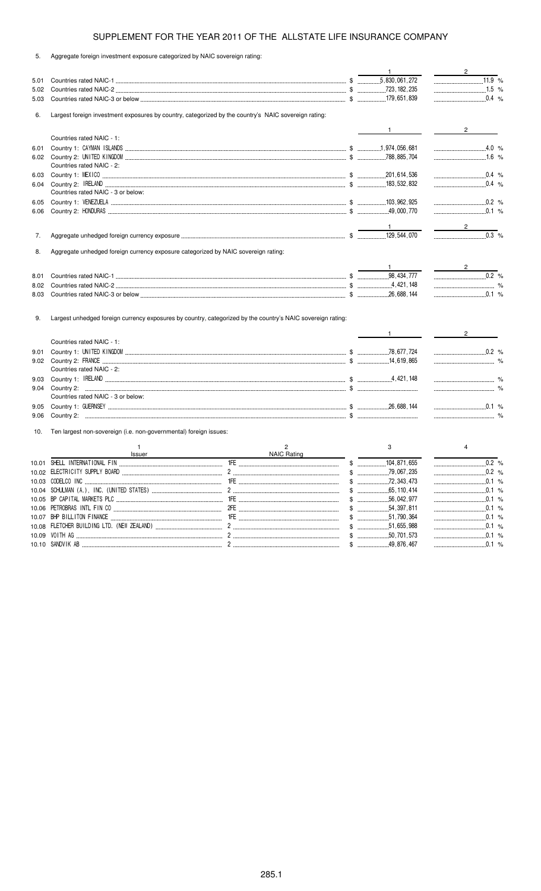5. Aggregate foreign investment exposure categorized by NAIC sovereign rating:

|      |                                                                                                      |                    | $\mathbf{1}$      | $\frac{2}{\sqrt{2}}$                                                           |
|------|------------------------------------------------------------------------------------------------------|--------------------|-------------------|--------------------------------------------------------------------------------|
| 5.01 |                                                                                                      |                    |                   |                                                                                |
| 5.02 |                                                                                                      |                    |                   | 1.5 %                                                                          |
| 5.03 |                                                                                                      |                    |                   | $\ldots$ 0.4 %                                                                 |
| 6.   | Largest foreign investment exposures by country, categorized by the country's NAIC sovereign rating: |                    |                   |                                                                                |
|      |                                                                                                      |                    | $1 \qquad \qquad$ | $2 \left( \frac{1}{2} \right)$                                                 |
|      | Countries rated NAIC - 1:                                                                            |                    |                   |                                                                                |
| 6.01 |                                                                                                      |                    |                   | $4.0\%$                                                                        |
|      |                                                                                                      |                    |                   | $1.6$ %                                                                        |
|      | Countries rated NAIC - 2:                                                                            |                    |                   |                                                                                |
| 6.03 |                                                                                                      |                    |                   | $0.4 %$                                                                        |
| 6.04 |                                                                                                      |                    |                   |                                                                                |
|      | Countries rated NAIC - 3 or below:                                                                   |                    |                   |                                                                                |
| 6.05 |                                                                                                      |                    |                   | $0.2$ %                                                                        |
| 6.06 |                                                                                                      |                    |                   | $0.1$ %                                                                        |
|      |                                                                                                      |                    |                   | $2^{\circ}$                                                                    |
| 7.   |                                                                                                      |                    |                   | $\overline{0.3}$ %                                                             |
|      |                                                                                                      |                    |                   |                                                                                |
| 8.   | Aggregate unhedged foreign currency exposure categorized by NAIC sovereign rating:                   |                    |                   |                                                                                |
|      |                                                                                                      |                    |                   | $\overline{\phantom{a}}$ 2                                                     |
| 8.01 |                                                                                                      |                    |                   | $\begin{array}{ccc}\n0.2 & \n\% \n\end{array}$                                 |
| 8.02 |                                                                                                      |                    |                   | $\sim$ $\sim$ $\sim$                                                           |
| 8.03 |                                                                                                      |                    |                   | $\sim$ 0.1 %                                                                   |
|      |                                                                                                      |                    | $1 \quad \qquad$  | $\frac{1}{\sqrt{2}}$ 2                                                         |
|      | Countries rated NAIC - 1:                                                                            |                    |                   |                                                                                |
| 9.01 |                                                                                                      |                    |                   | $\begin{array}{ccc} \multicolumn{3}{c} \textbf{0.2} & \textbf{\%} \end{array}$ |
|      |                                                                                                      |                    |                   |                                                                                |
|      | Countries rated NAIC - 2:                                                                            |                    |                   |                                                                                |
| 9.03 |                                                                                                      |                    |                   |                                                                                |
| 9.04 |                                                                                                      |                    |                   |                                                                                |
|      | Countries rated NAIC - 3 or below:                                                                   |                    |                   |                                                                                |
| 9.05 |                                                                                                      |                    |                   | 0.1 %                                                                          |
| 9.06 |                                                                                                      |                    |                   |                                                                                |
| 10.  | Ten largest non-sovereign (i.e. non-governmental) foreign issues:                                    |                    |                   |                                                                                |
|      | $\mathbf{1}$                                                                                         | $\overline{c}$     | 3                 | 4                                                                              |
|      | Issuer                                                                                               | <b>NAIC Rating</b> |                   |                                                                                |
|      | 10.01 SHELL INTERNATIONAL FIN                                                                        | 1FE                | \$                | 0.2%                                                                           |
|      |                                                                                                      |                    |                   | $0.2 %$                                                                        |
|      |                                                                                                      |                    |                   | .0.1%                                                                          |
|      |                                                                                                      |                    |                   |                                                                                |
|      |                                                                                                      |                    |                   | $0.1$ %                                                                        |
|      |                                                                                                      |                    |                   | 0.1 %                                                                          |
|      |                                                                                                      |                    | $$$ 64,397,811    | 0.1 %                                                                          |
|      |                                                                                                      |                    |                   | $\ldots$ 0.1 %                                                                 |
|      |                                                                                                      |                    |                   |                                                                                |
|      |                                                                                                      |                    |                   | $0.1\%$<br>.0.1%                                                               |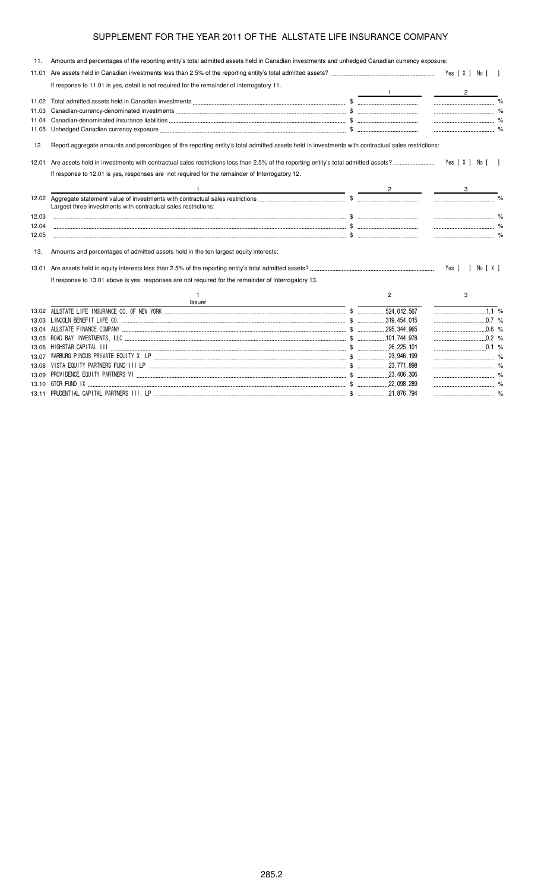| 11.   | Amounts and percentages of the reporting entity's total admitted assets held in Canadian investments and unhedged Canadian currency exposure:     |                |                  |
|-------|---------------------------------------------------------------------------------------------------------------------------------------------------|----------------|------------------|
| 11.01 |                                                                                                                                                   |                |                  |
|       | If response to 11.01 is yes, detail is not required for the remainder of interrogatory 11.                                                        |                | $\overline{2}$   |
| 11.02 |                                                                                                                                                   |                |                  |
| 11.03 |                                                                                                                                                   |                |                  |
| 11.04 |                                                                                                                                                   |                |                  |
| 11.05 |                                                                                                                                                   |                |                  |
| 12.   | Report aggregate amounts and percentages of the reporting entity's total admitted assets held in investments with contractual sales restrictions: |                |                  |
| 12.01 |                                                                                                                                                   |                | Yes [ X ] No [ ] |
|       | If response to 12.01 is yes, responses are not required for the remainder of Interrogatory 12.                                                    |                |                  |
|       | <u> 1989 - Johann Stoff, Amerikaansk politiker († 1908)</u>                                                                                       |                |                  |
|       | Largest three investments with contractual sales restrictions:                                                                                    |                |                  |
| 12.03 |                                                                                                                                                   |                |                  |
| 12.04 |                                                                                                                                                   |                |                  |
| 12.05 |                                                                                                                                                   |                |                  |
| 13.   | Amounts and percentages of admitted assets held in the ten largest equity interests:                                                              |                |                  |
| 13.01 |                                                                                                                                                   |                | Yes [ ] No [ X ] |
|       | If response to 13.01 above is yes, responses are not required for the remainder of Interrogatory 13.                                              |                |                  |
|       | Issuer                                                                                                                                            | $\overline{2}$ | 3                |
|       |                                                                                                                                                   |                | $1.1\%$          |
|       |                                                                                                                                                   |                | 0.7 %            |
|       |                                                                                                                                                   |                |                  |
|       |                                                                                                                                                   |                | $0.2$ %          |
|       |                                                                                                                                                   |                |                  |
| 13.07 |                                                                                                                                                   |                |                  |
| 13.08 |                                                                                                                                                   |                |                  |
|       |                                                                                                                                                   |                |                  |

13.10 ) % \$ "''" %

 \$ \$ '" %

13.11 PRUDENTIAL CAPITAL PA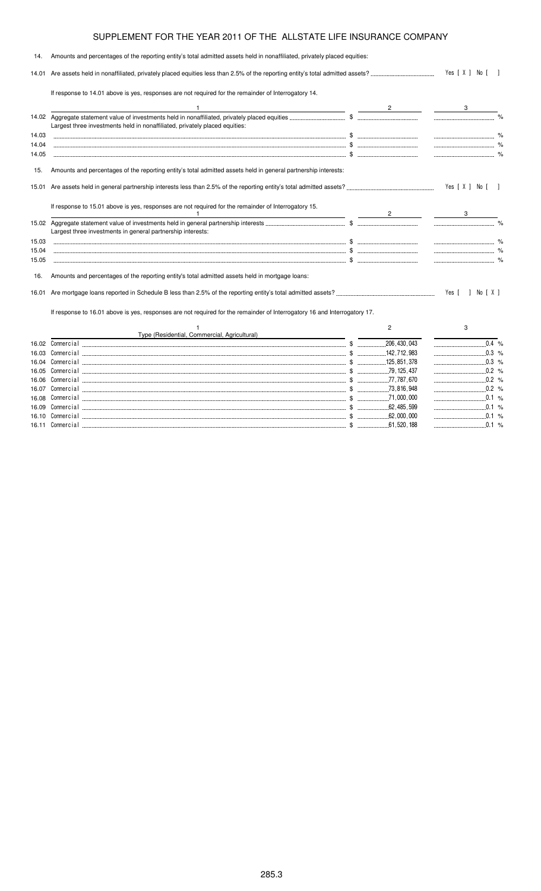| 14.            | Amounts and percentages of the reporting entity's total admitted assets held in nonaffiliated, privately placed equities:                                                               |                |                    |  |
|----------------|-----------------------------------------------------------------------------------------------------------------------------------------------------------------------------------------|----------------|--------------------|--|
|                |                                                                                                                                                                                         |                | Yes [ X ] No [ ]   |  |
|                | If response to 14.01 above is yes, responses are not required for the remainder of Interrogatory 14.                                                                                    |                |                    |  |
|                |                                                                                                                                                                                         |                |                    |  |
|                | Largest three investments held in nonaffiliated, privately placed equities:                                                                                                             |                |                    |  |
| 14.03          |                                                                                                                                                                                         |                |                    |  |
| 14.04          |                                                                                                                                                                                         |                |                    |  |
| 14.05          |                                                                                                                                                                                         |                |                    |  |
| 15.            | Amounts and percentages of the reporting entity's total admitted assets held in general partnership interests:                                                                          |                |                    |  |
|                |                                                                                                                                                                                         |                | Yes [ X ] No [ ]   |  |
|                | If response to 15.01 above is yes, responses are not required for the remainder of Interrogatory 15.<br>the contract of the contract of the contract of the contract of the contract of |                |                    |  |
|                |                                                                                                                                                                                         |                |                    |  |
|                | Largest three investments in general partnership interests:                                                                                                                             |                |                    |  |
| 15.03          |                                                                                                                                                                                         |                |                    |  |
| 15.04          |                                                                                                                                                                                         |                |                    |  |
| 15.05          |                                                                                                                                                                                         |                |                    |  |
| 16.            | Amounts and percentages of the reporting entity's total admitted assets held in mortgage loans:                                                                                         |                |                    |  |
|                |                                                                                                                                                                                         |                | Yes [ ] No [ X ]   |  |
|                | If response to 16.01 above is yes, responses are not required for the remainder of Interrogatory 16 and Interrogatory 17.                                                               |                |                    |  |
|                |                                                                                                                                                                                         | $\overline{2}$ | 3                  |  |
|                | Type (Residential, Commercial, Agricultural)                                                                                                                                            |                |                    |  |
|                |                                                                                                                                                                                         |                | $0.\overline{4}$ % |  |
| 16.03<br>16.04 |                                                                                                                                                                                         |                |                    |  |
| 16.05          |                                                                                                                                                                                         |                |                    |  |
|                |                                                                                                                                                                                         |                |                    |  |
|                |                                                                                                                                                                                         |                |                    |  |

16.09 - \$ % 16.10 - \$ %

 \$ %

 \$ %

 \$ %

16.07 Comme

16.08 Comme

16.11 Comme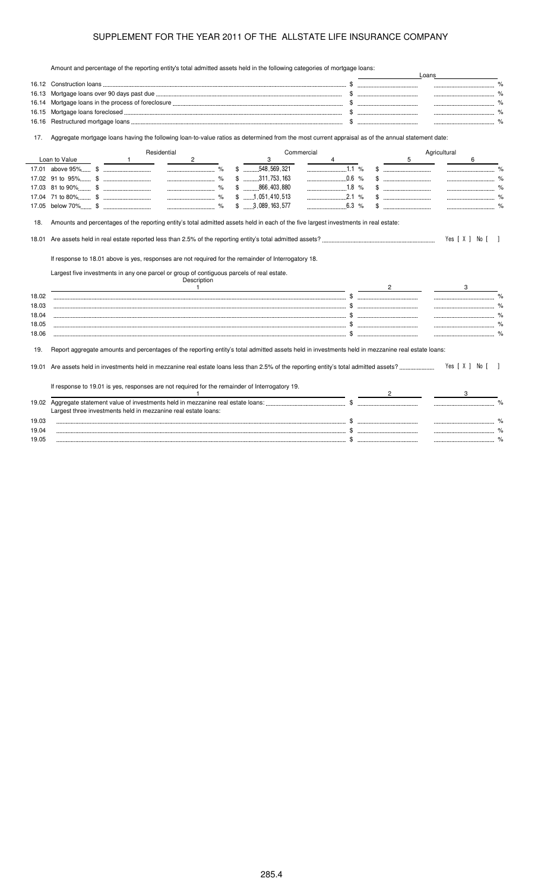Amount and percentage of the reporting entity's total admitted assets held in the following categories of mortgage loans:

|                                                    | Amount and percentage of the reporting entity's total admitted assets held in the following categories of mongage loans.                                                                          |                |             |                      |  |                         |            |   |                     |                |              |              |                  |      |
|----------------------------------------------------|---------------------------------------------------------------------------------------------------------------------------------------------------------------------------------------------------|----------------|-------------|----------------------|--|-------------------------|------------|---|---------------------|----------------|--------------|--------------|------------------|------|
|                                                    |                                                                                                                                                                                                   |                |             |                      |  |                         |            |   |                     |                |              |              |                  | $\%$ |
| 16.13                                              |                                                                                                                                                                                                   |                |             |                      |  |                         |            |   |                     |                |              |              |                  |      |
| 16.14                                              |                                                                                                                                                                                                   |                |             |                      |  |                         |            |   |                     |                |              |              |                  |      |
| 16.15                                              |                                                                                                                                                                                                   |                |             |                      |  |                         |            |   |                     |                |              |              |                  |      |
| 16.16                                              |                                                                                                                                                                                                   |                |             |                      |  |                         |            |   |                     |                |              |              |                  |      |
| 17.                                                | Aggregate mortgage loans having the following loan-to-value ratios as determined from the most current appraisal as of the annual statement date:                                                 |                |             |                      |  |                         |            |   |                     |                |              |              |                  |      |
|                                                    |                                                                                                                                                                                                   |                | Residential |                      |  |                         | Commercial |   |                     |                |              | Agricultural |                  |      |
|                                                    | Loan to Value                                                                                                                                                                                     | $\overline{1}$ |             | $\overline{c}$       |  | 3                       |            | 4 |                     |                | 5            |              | 6                |      |
|                                                    |                                                                                                                                                                                                   |                |             |                      |  | $$$ 548,569,321         |            |   | 1.1 %               |                |              |              |                  |      |
|                                                    |                                                                                                                                                                                                   |                |             | $\sim$ $\sim$ $\sim$ |  | $$$ , , .311,753,163    |            |   | $\frac{1}{2}$ 0.6 % |                |              |              |                  |      |
|                                                    |                                                                                                                                                                                                   |                |             |                      |  | $$$ 866,403,880         |            |   |                     |                |              |              |                  |      |
|                                                    |                                                                                                                                                                                                   |                |             |                      |  | $$$ 1,051,410,513       |            |   |                     |                |              |              |                  |      |
|                                                    |                                                                                                                                                                                                   |                |             |                      |  | $$ \dots 3,089,163,577$ |            |   | $6.3\%$             |                | $\mathbb{S}$ |              |                  |      |
|                                                    |                                                                                                                                                                                                   |                |             |                      |  |                         |            |   |                     |                |              |              | Yes [ X ] No [ ] |      |
| 18.                                                | If response to 18.01 above is yes, responses are not required for the remainder of Interrogatory 18.<br>Largest five investments in any one parcel or group of contiguous parcels of real estate. |                |             | Description          |  |                         |            |   |                     |                |              |              |                  |      |
|                                                    |                                                                                                                                                                                                   |                |             | $\overline{1}$       |  |                         |            |   |                     | $\overline{2}$ |              |              | 3                |      |
|                                                    |                                                                                                                                                                                                   |                |             |                      |  |                         |            |   |                     |                |              |              |                  |      |
|                                                    |                                                                                                                                                                                                   |                |             |                      |  |                         |            |   |                     |                |              |              |                  |      |
|                                                    |                                                                                                                                                                                                   |                |             |                      |  |                         |            |   |                     |                |              |              |                  |      |
| 18.01<br>18.02<br>18.03<br>18.04<br>18.05<br>18.06 |                                                                                                                                                                                                   |                |             |                      |  |                         |            |   |                     |                |              |              |                  |      |
|                                                    | Report aggregate amounts and percentages of the reporting entity's total admitted assets held in investments held in mezzanine real estate loans:                                                 |                |             |                      |  |                         |            |   |                     |                |              |              |                  |      |
| 19.                                                |                                                                                                                                                                                                   |                |             |                      |  |                         |            |   |                     |                |              |              | Yes [ X ] No [   |      |
|                                                    | If response to 19.01 is yes, responses are not required for the remainder of Interrogatory 19.                                                                                                    |                |             |                      |  |                         |            |   |                     |                |              |              |                  |      |
|                                                    |                                                                                                                                                                                                   |                |             |                      |  |                         |            |   |                     |                |              |              |                  |      |
|                                                    | Largest three investments held in mezzanine real estate loans:                                                                                                                                    |                |             |                      |  |                         |            |   |                     |                |              |              |                  |      |
|                                                    |                                                                                                                                                                                                   |                |             |                      |  |                         |            |   |                     |                |              |              |                  |      |
| 19.01<br>19.03<br>19.04                            |                                                                                                                                                                                                   |                |             |                      |  |                         |            |   |                     |                |              |              |                  |      |